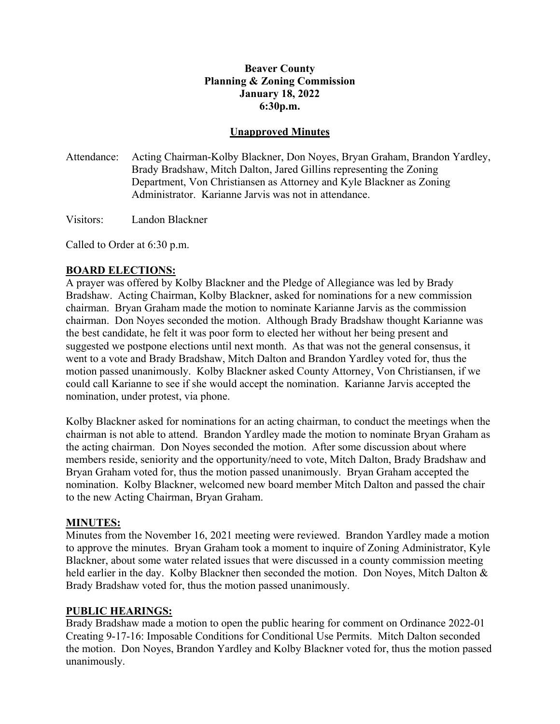## **Unapproved Minutes**

Attendance: Acting Chairman-Kolby Blackner, Don Noyes, Bryan Graham, Brandon Yardley, Brady Bradshaw, Mitch Dalton, Jared Gillins representing the Zoning Department, Von Christiansen as Attorney and Kyle Blackner as Zoning Administrator. Karianne Jarvis was not in attendance.

Visitors: Landon Blackner

Called to Order at 6:30 p.m.

## **BOARD ELECTIONS:**

A prayer was offered by Kolby Blackner and the Pledge of Allegiance was led by Brady Bradshaw. Acting Chairman, Kolby Blackner, asked for nominations for a new commission chairman. Bryan Graham made the motion to nominate Karianne Jarvis as the commission chairman. Don Noyes seconded the motion. Although Brady Bradshaw thought Karianne was the best candidate, he felt it was poor form to elected her without her being present and suggested we postpone elections until next month. As that was not the general consensus, it went to a vote and Brady Bradshaw, Mitch Dalton and Brandon Yardley voted for, thus the motion passed unanimously. Kolby Blackner asked County Attorney, Von Christiansen, if we could call Karianne to see if she would accept the nomination. Karianne Jarvis accepted the nomination, under protest, via phone.

Kolby Blackner asked for nominations for an acting chairman, to conduct the meetings when the chairman is not able to attend. Brandon Yardley made the motion to nominate Bryan Graham as the acting chairman. Don Noyes seconded the motion. After some discussion about where members reside, seniority and the opportunity/need to vote, Mitch Dalton, Brady Bradshaw and Bryan Graham voted for, thus the motion passed unanimously. Bryan Graham accepted the nomination. Kolby Blackner, welcomed new board member Mitch Dalton and passed the chair to the new Acting Chairman, Bryan Graham.

#### **MINUTES:**

Minutes from the November 16, 2021 meeting were reviewed. Brandon Yardley made a motion to approve the minutes. Bryan Graham took a moment to inquire of Zoning Administrator, Kyle Blackner, about some water related issues that were discussed in a county commission meeting held earlier in the day. Kolby Blackner then seconded the motion. Don Noyes, Mitch Dalton & Brady Bradshaw voted for, thus the motion passed unanimously.

## **PUBLIC HEARINGS:**

Brady Bradshaw made a motion to open the public hearing for comment on Ordinance 2022-01 Creating 9-17-16: Imposable Conditions for Conditional Use Permits. Mitch Dalton seconded the motion. Don Noyes, Brandon Yardley and Kolby Blackner voted for, thus the motion passed unanimously.